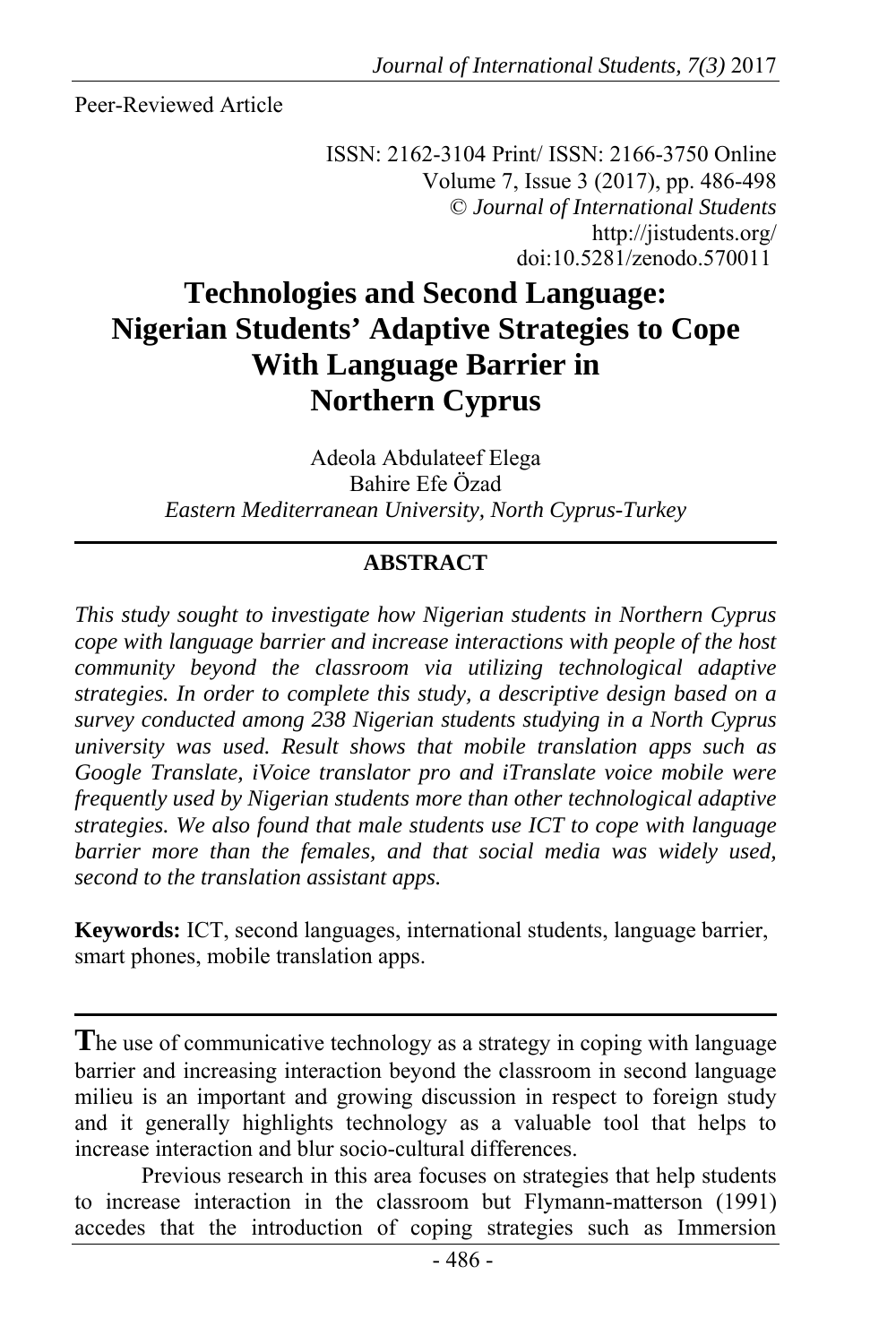Peer-Reviewed Article

ISSN: 2162-3104 Print/ ISSN: 2166-3750 Online Volume 7, Issue 3 (2017), pp. 486-498 © *Journal of International Students* http://jistudents.org/ doi:10.5281/zenodo.570011

# **Technologies and Second Language: Nigerian Students' Adaptive Strategies to Cope With Language Barrier in Northern Cyprus**

Adeola Abdulateef Elega Bahire Efe Özad *Eastern Mediterranean University, North Cyprus-Turkey* 

## **ABSTRACT**

*This study sought to investigate how Nigerian students in Northern Cyprus cope with language barrier and increase interactions with people of the host community beyond the classroom via utilizing technological adaptive strategies. In order to complete this study, a descriptive design based on a survey conducted among 238 Nigerian students studying in a North Cyprus university was used. Result shows that mobile translation apps such as Google Translate, iVoice translator pro and iTranslate voice mobile were frequently used by Nigerian students more than other technological adaptive strategies. We also found that male students use ICT to cope with language*  barrier more than the females, and that social media was widely used, *second to the translation assistant apps.* 

**Keywords:** ICT, second languages, international students, language barrier, smart phones, mobile translation apps.

The use of communicative technology as a strategy in coping with language barrier and increasing interaction beyond the classroom in second language milieu is an important and growing discussion in respect to foreign study and it generally highlights technology as a valuable tool that helps to increase interaction and blur socio-cultural differences.

Previous research in this area focuses on strategies that help students to increase interaction in the classroom but Flymann-matterson (1991) accedes that the introduction of coping strategies such as Immersion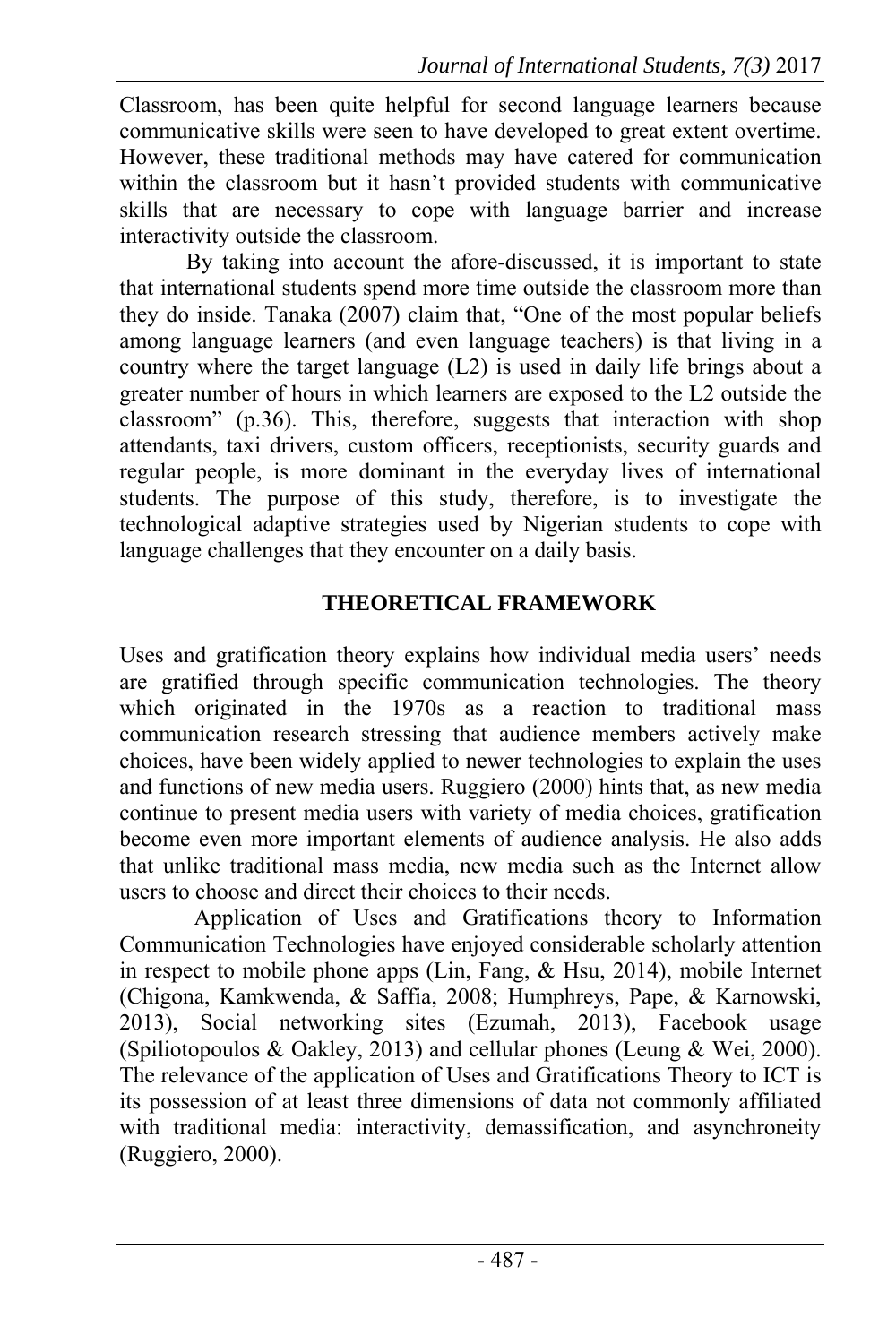Classroom, has been quite helpful for second language learners because communicative skills were seen to have developed to great extent overtime. However, these traditional methods may have catered for communication within the classroom but it hasn't provided students with communicative skills that are necessary to cope with language barrier and increase interactivity outside the classroom.

By taking into account the afore-discussed, it is important to state that international students spend more time outside the classroom more than they do inside. Tanaka (2007) claim that, "One of the most popular beliefs among language learners (and even language teachers) is that living in a country where the target language (L2) is used in daily life brings about a greater number of hours in which learners are exposed to the L2 outside the classroom" (p.36). This, therefore, suggests that interaction with shop attendants, taxi drivers, custom officers, receptionists, security guards and regular people, is more dominant in the everyday lives of international students. The purpose of this study, therefore, is to investigate the technological adaptive strategies used by Nigerian students to cope with language challenges that they encounter on a daily basis.

### **THEORETICAL FRAMEWORK**

Uses and gratification theory explains how individual media users' needs are gratified through specific communication technologies. The theory which originated in the 1970s as a reaction to traditional mass communication research stressing that audience members actively make choices, have been widely applied to newer technologies to explain the uses and functions of new media users. Ruggiero (2000) hints that, as new media continue to present media users with variety of media choices, gratification become even more important elements of audience analysis. He also adds that unlike traditional mass media, new media such as the Internet allow users to choose and direct their choices to their needs.

Application of Uses and Gratifications theory to Information Communication Technologies have enjoyed considerable scholarly attention in respect to mobile phone apps (Lin, Fang, & Hsu, 2014), mobile Internet (Chigona, Kamkwenda, & Saffia, 2008; Humphreys, Pape, & Karnowski, 2013), Social networking sites (Ezumah, 2013), Facebook usage (Spiliotopoulos & Oakley, 2013) and cellular phones (Leung & Wei, 2000). The relevance of the application of Uses and Gratifications Theory to ICT is its possession of at least three dimensions of data not commonly affiliated with traditional media: interactivity, demassification, and asynchroneity (Ruggiero, 2000).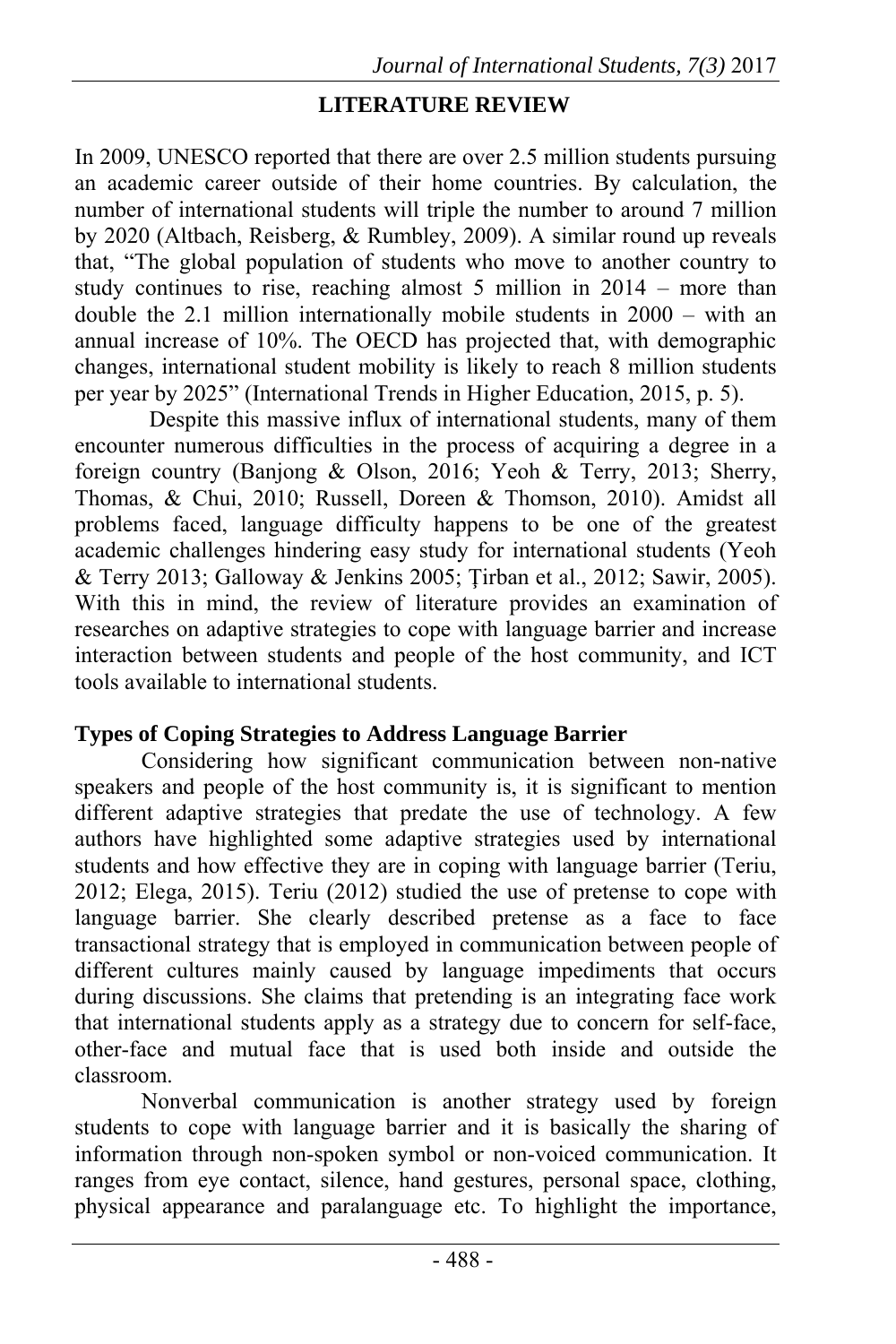### **LITERATURE REVIEW**

In 2009, UNESCO reported that there are over 2.5 million students pursuing an academic career outside of their home countries. By calculation, the number of international students will triple the number to around 7 million by 2020 (Altbach, Reisberg, & Rumbley, 2009). A similar round up reveals that, "The global population of students who move to another country to study continues to rise, reaching almost 5 million in 2014 – more than double the 2.1 million internationally mobile students in 2000 – with an annual increase of 10%. The OECD has projected that, with demographic changes, international student mobility is likely to reach 8 million students per year by 2025" (International Trends in Higher Education, 2015, p. 5).

Despite this massive influx of international students, many of them encounter numerous difficulties in the process of acquiring a degree in a foreign country (Banjong & Olson, 2016; Yeoh & Terry, 2013; Sherry, Thomas, & Chui, 2010; Russell, Doreen & Thomson, 2010). Amidst all problems faced, language difficulty happens to be one of the greatest academic challenges hindering easy study for international students (Yeoh & Terry 2013; Galloway & Jenkins 2005; Ţirban et al., 2012; Sawir, 2005). With this in mind, the review of literature provides an examination of researches on adaptive strategies to cope with language barrier and increase interaction between students and people of the host community, and ICT tools available to international students.

#### **Types of Coping Strategies to Address Language Barrier**

Considering how significant communication between non-native speakers and people of the host community is, it is significant to mention different adaptive strategies that predate the use of technology. A few authors have highlighted some adaptive strategies used by international students and how effective they are in coping with language barrier (Teriu, 2012; Elega, 2015). Teriu (2012) studied the use of pretense to cope with language barrier. She clearly described pretense as a face to face transactional strategy that is employed in communication between people of different cultures mainly caused by language impediments that occurs during discussions. She claims that pretending is an integrating face work that international students apply as a strategy due to concern for self-face, other-face and mutual face that is used both inside and outside the classroom.

Nonverbal communication is another strategy used by foreign students to cope with language barrier and it is basically the sharing of information through non-spoken symbol or non-voiced communication. It ranges from eye contact, silence, hand gestures, personal space, clothing, physical appearance and paralanguage etc. To highlight the importance,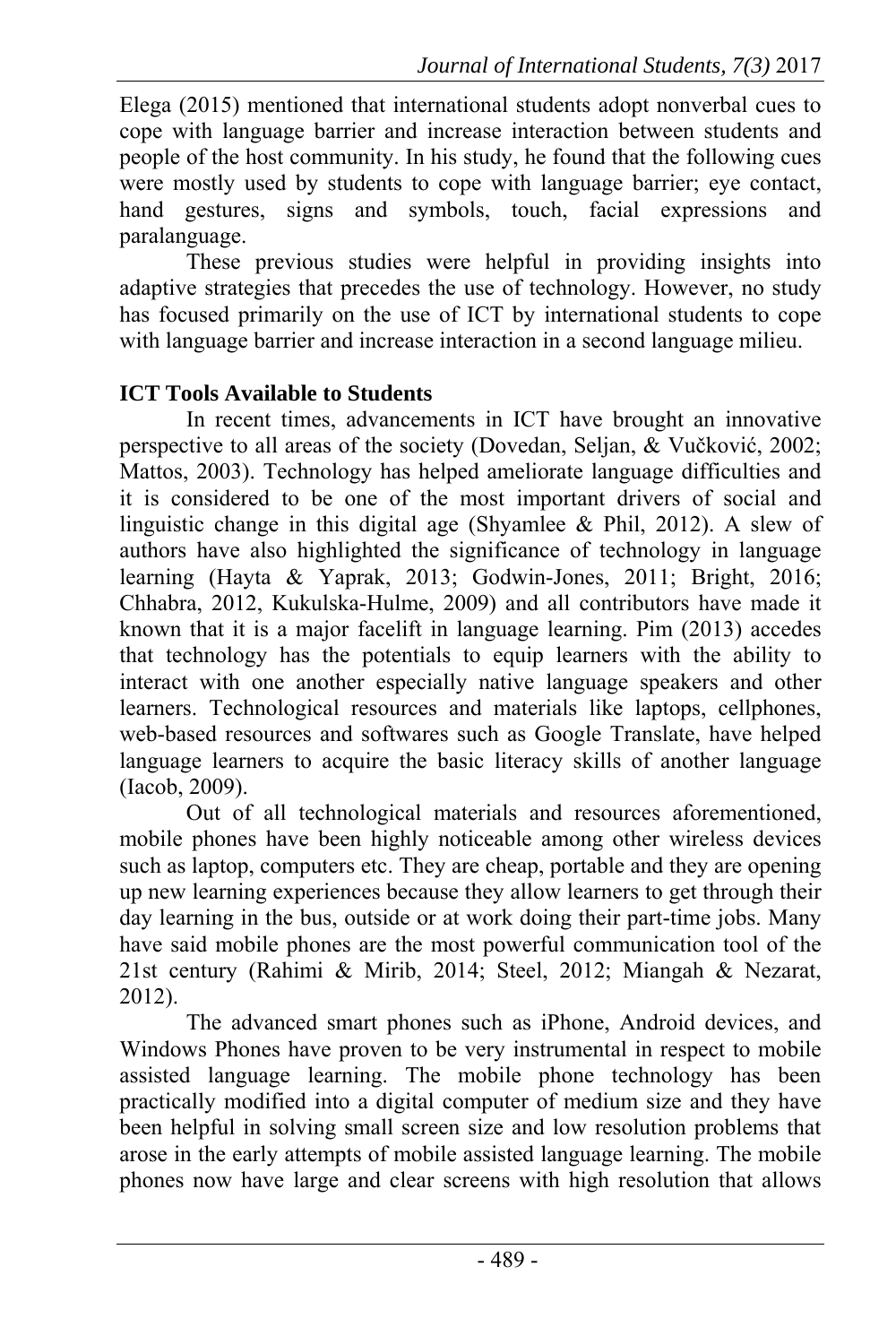Elega (2015) mentioned that international students adopt nonverbal cues to cope with language barrier and increase interaction between students and people of the host community. In his study, he found that the following cues were mostly used by students to cope with language barrier; eye contact, hand gestures, signs and symbols, touch, facial expressions and paralanguage.

These previous studies were helpful in providing insights into adaptive strategies that precedes the use of technology. However, no study has focused primarily on the use of ICT by international students to cope with language barrier and increase interaction in a second language milieu.

### **ICT Tools Available to Students**

In recent times, advancements in ICT have brought an innovative perspective to all areas of the society (Dovedan, Seljan, & Vučković, 2002; Mattos, 2003). Technology has helped ameliorate language difficulties and it is considered to be one of the most important drivers of social and linguistic change in this digital age (Shyamlee & Phil, 2012). A slew of authors have also highlighted the significance of technology in language learning (Hayta & Yaprak, 2013; Godwin-Jones, 2011; Bright, 2016; Chhabra, 2012, Kukulska-Hulme, 2009) and all contributors have made it known that it is a major facelift in language learning. Pim (2013) accedes that technology has the potentials to equip learners with the ability to interact with one another especially native language speakers and other learners. Technological resources and materials like laptops, cellphones, web-based resources and softwares such as Google Translate, have helped language learners to acquire the basic literacy skills of another language (Iacob, 2009).

Out of all technological materials and resources aforementioned, mobile phones have been highly noticeable among other wireless devices such as laptop, computers etc. They are cheap, portable and they are opening up new learning experiences because they allow learners to get through their day learning in the bus, outside or at work doing their part-time jobs. Many have said mobile phones are the most powerful communication tool of the 21st century (Rahimi & Mirib, 2014; Steel, 2012; Miangah & Nezarat, 2012).

The advanced smart phones such as iPhone, Android devices, and Windows Phones have proven to be very instrumental in respect to mobile assisted language learning. The mobile phone technology has been practically modified into a digital computer of medium size and they have been helpful in solving small screen size and low resolution problems that arose in the early attempts of mobile assisted language learning. The mobile phones now have large and clear screens with high resolution that allows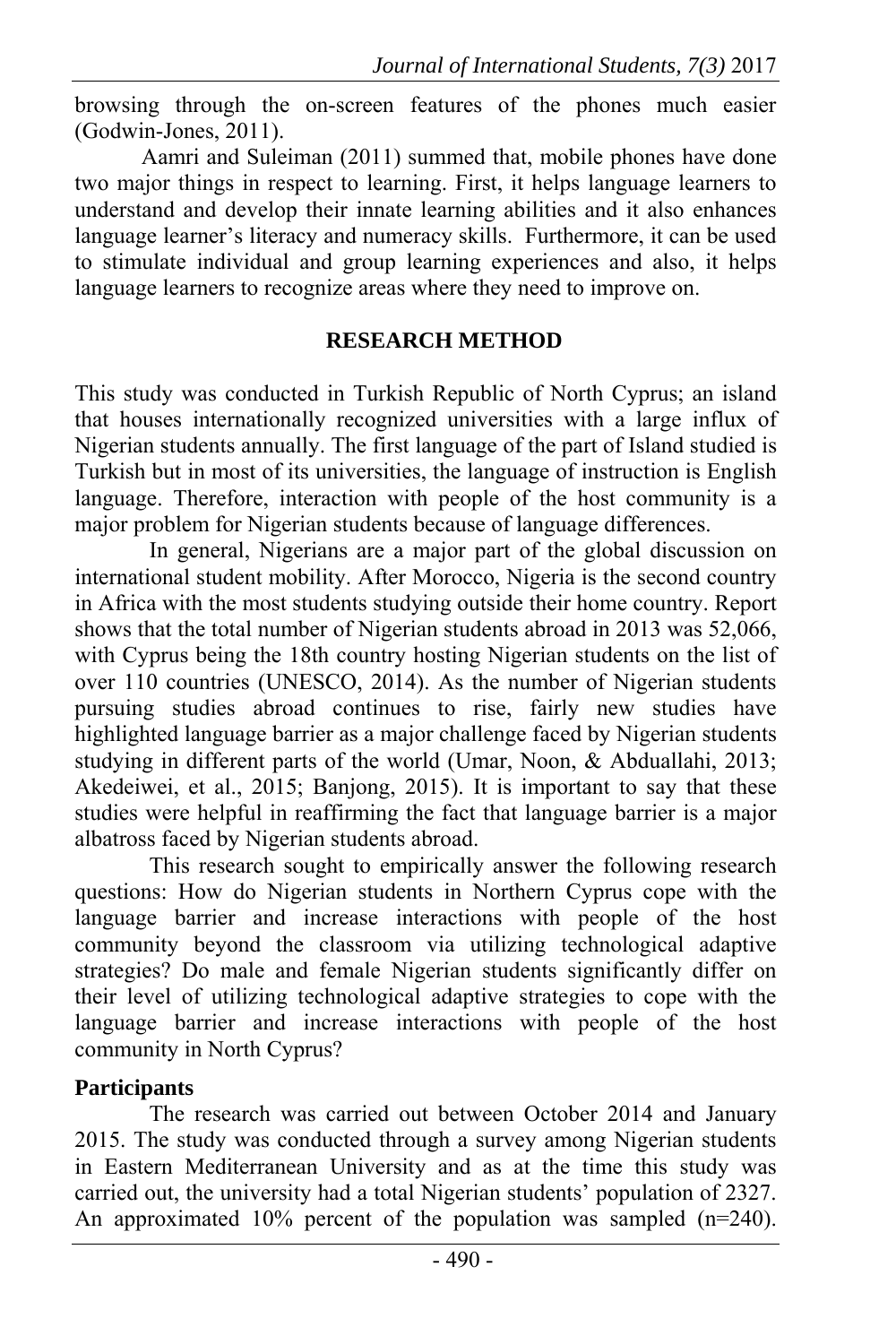browsing through the on-screen features of the phones much easier (Godwin-Jones, 2011).

Aamri and Suleiman (2011) summed that, mobile phones have done two major things in respect to learning. First, it helps language learners to understand and develop their innate learning abilities and it also enhances language learner's literacy and numeracy skills. Furthermore, it can be used to stimulate individual and group learning experiences and also, it helps language learners to recognize areas where they need to improve on.

#### **RESEARCH METHOD**

This study was conducted in Turkish Republic of North Cyprus; an island that houses internationally recognized universities with a large influx of Nigerian students annually. The first language of the part of Island studied is Turkish but in most of its universities, the language of instruction is English language. Therefore, interaction with people of the host community is a major problem for Nigerian students because of language differences.

In general, Nigerians are a major part of the global discussion on international student mobility. After Morocco, Nigeria is the second country in Africa with the most students studying outside their home country. Report shows that the total number of Nigerian students abroad in 2013 was 52,066, with Cyprus being the 18th country hosting Nigerian students on the list of over 110 countries (UNESCO, 2014). As the number of Nigerian students pursuing studies abroad continues to rise, fairly new studies have highlighted language barrier as a major challenge faced by Nigerian students studying in different parts of the world (Umar, Noon, & Abduallahi, 2013; Akedeiwei, et al., 2015; Banjong, 2015). It is important to say that these studies were helpful in reaffirming the fact that language barrier is a major albatross faced by Nigerian students abroad.

This research sought to empirically answer the following research questions: How do Nigerian students in Northern Cyprus cope with the language barrier and increase interactions with people of the host community beyond the classroom via utilizing technological adaptive strategies? Do male and female Nigerian students significantly differ on their level of utilizing technological adaptive strategies to cope with the language barrier and increase interactions with people of the host community in North Cyprus?

## **Participants**

The research was carried out between October 2014 and January 2015. The study was conducted through a survey among Nigerian students in Eastern Mediterranean University and as at the time this study was carried out, the university had a total Nigerian students' population of 2327. An approximated 10% percent of the population was sampled (n=240).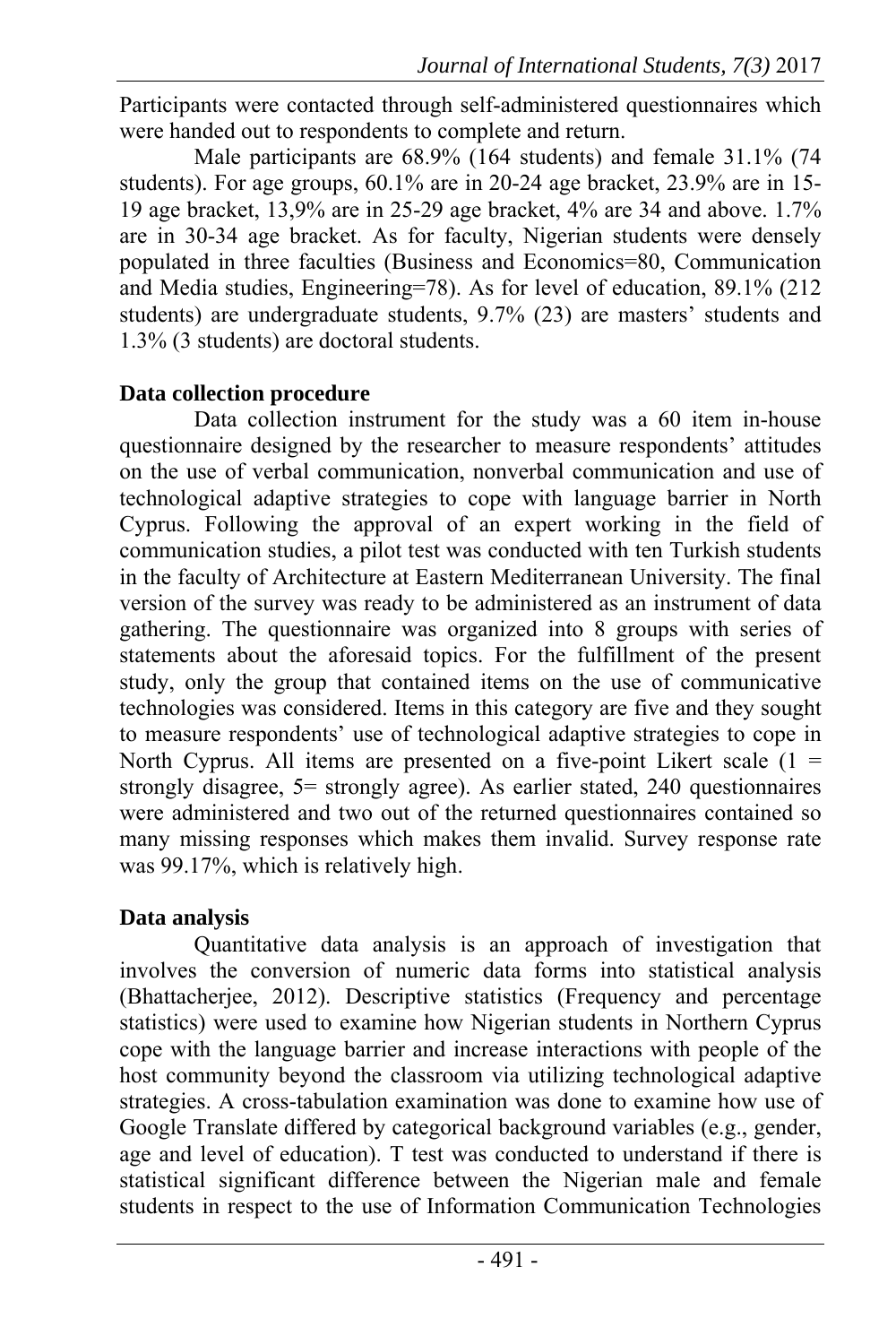Participants were contacted through self-administered questionnaires which were handed out to respondents to complete and return.

Male participants are 68.9% (164 students) and female 31.1% (74 students). For age groups, 60.1% are in 20-24 age bracket, 23.9% are in 15- 19 age bracket, 13,9% are in 25-29 age bracket, 4% are 34 and above. 1.7% are in 30-34 age bracket. As for faculty, Nigerian students were densely populated in three faculties (Business and Economics=80, Communication and Media studies, Engineering=78). As for level of education, 89.1% (212 students) are undergraduate students, 9.7% (23) are masters' students and 1.3% (3 students) are doctoral students.

### **Data collection procedure**

Data collection instrument for the study was a 60 item in-house questionnaire designed by the researcher to measure respondents' attitudes on the use of verbal communication, nonverbal communication and use of technological adaptive strategies to cope with language barrier in North Cyprus. Following the approval of an expert working in the field of communication studies, a pilot test was conducted with ten Turkish students in the faculty of Architecture at Eastern Mediterranean University. The final version of the survey was ready to be administered as an instrument of data gathering. The questionnaire was organized into 8 groups with series of statements about the aforesaid topics. For the fulfillment of the present study, only the group that contained items on the use of communicative technologies was considered. Items in this category are five and they sought to measure respondents' use of technological adaptive strategies to cope in North Cyprus. All items are presented on a five-point Likert scale  $(1 =$ strongly disagree, 5= strongly agree). As earlier stated, 240 questionnaires were administered and two out of the returned questionnaires contained so many missing responses which makes them invalid. Survey response rate was 99.17%, which is relatively high.

### **Data analysis**

Quantitative data analysis is an approach of investigation that involves the conversion of numeric data forms into statistical analysis (Bhattacherjee, 2012). Descriptive statistics (Frequency and percentage statistics) were used to examine how Nigerian students in Northern Cyprus cope with the language barrier and increase interactions with people of the host community beyond the classroom via utilizing technological adaptive strategies. A cross-tabulation examination was done to examine how use of Google Translate differed by categorical background variables (e.g., gender, age and level of education). T test was conducted to understand if there is statistical significant difference between the Nigerian male and female students in respect to the use of Information Communication Technologies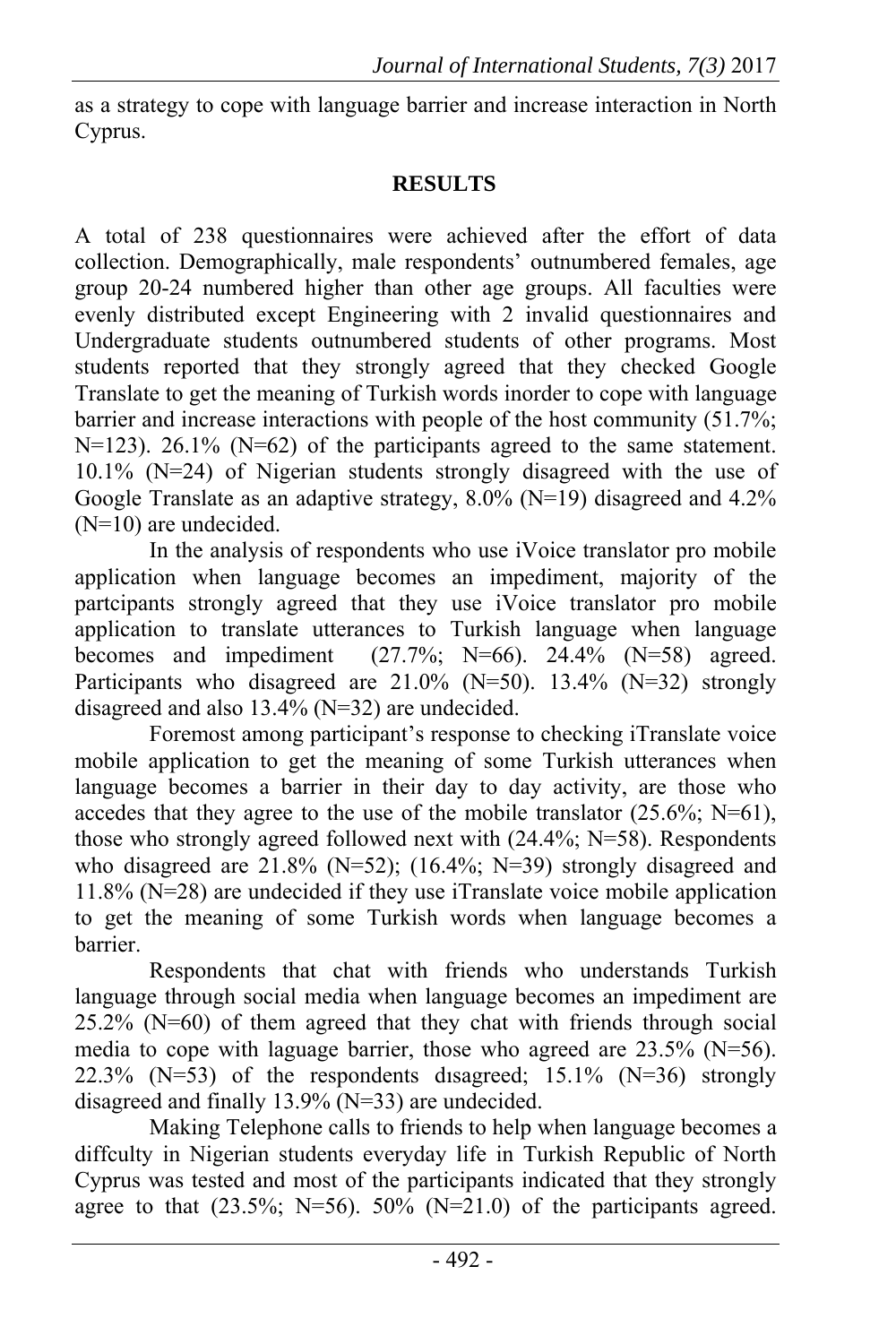as a strategy to cope with language barrier and increase interaction in North Cyprus.

### **RESULTS**

A total of 238 questionnaires were achieved after the effort of data collection. Demographically, male respondents' outnumbered females, age group 20-24 numbered higher than other age groups. All faculties were evenly distributed except Engineering with 2 invalid questionnaires and Undergraduate students outnumbered students of other programs. Most students reported that they strongly agreed that they checked Google Translate to get the meaning of Turkish words inorder to cope with language barrier and increase interactions with people of the host community (51.7%; N=123). 26.1% (N=62) of the participants agreed to the same statement. 10.1% (N=24) of Nigerian students strongly disagreed with the use of Google Translate as an adaptive strategy,  $8.0\%$  (N=19) disagreed and 4.2% (N=10) are undecided.

In the analysis of respondents who use iVoice translator pro mobile application when language becomes an impediment, majority of the partcipants strongly agreed that they use iVoice translator pro mobile application to translate utterances to Turkish language when language becomes and impediment (27.7%; N=66).  $24.4\%$  (N=58) agreed. Participants who disagreed are  $21.0\%$  (N=50). 13.4% (N=32) strongly disagreed and also 13.4% (N=32) are undecided.

Foremost among participant's response to checking iTranslate voice mobile application to get the meaning of some Turkish utterances when language becomes a barrier in their day to day activity, are those who accedes that they agree to the use of the mobile translator  $(25.6\%; N=61)$ , those who strongly agreed followed next with (24.4%; N=58). Respondents who disagreed are 21.8% (N=52); (16.4%; N=39) strongly disagreed and 11.8% (N=28) are undecided if they use iTranslate voice mobile application to get the meaning of some Turkish words when language becomes a barrier.

Respondents that chat with friends who understands Turkish language through social media when language becomes an impediment are  $25.2\%$  (N=60) of them agreed that they chat with friends through social media to cope with laguage barrier, those who agreed are  $23.5\%$  (N=56). 22.3% ( $N=53$ ) of the respondents disagreed; 15.1% ( $N=36$ ) strongly disagreed and finally 13.9% (N=33) are undecided.

Making Telephone calls to friends to help when language becomes a diffculty in Nigerian students everyday life in Turkish Republic of North Cyprus was tested and most of the participants indicated that they strongly agree to that  $(23.5\%; N=56)$ .  $50\%$   $(N=21.0)$  of the participants agreed.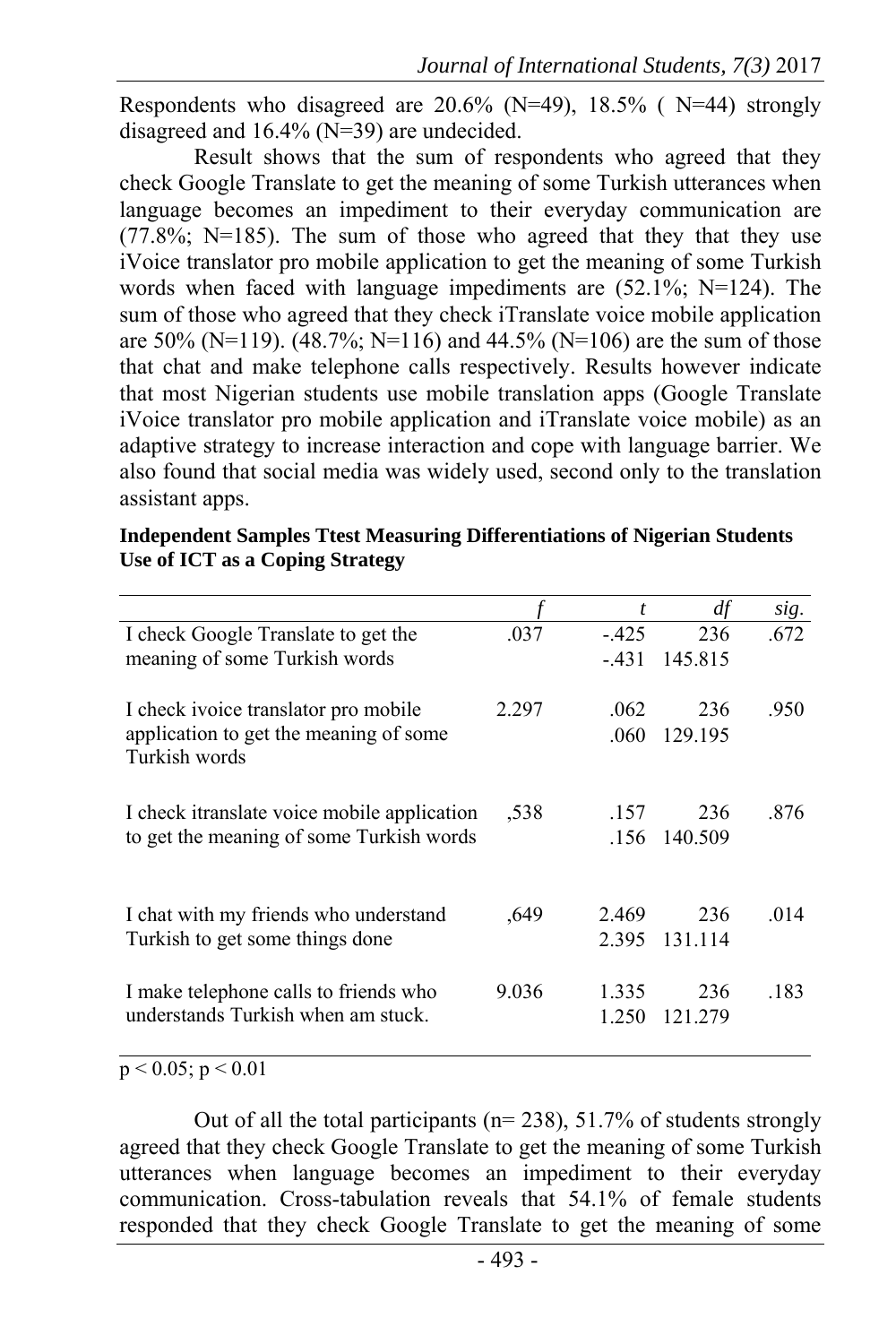Respondents who disagreed are  $20.6\%$  (N=49), 18.5% (N=44) strongly disagreed and 16.4% (N=39) are undecided.

Result shows that the sum of respondents who agreed that they check Google Translate to get the meaning of some Turkish utterances when language becomes an impediment to their everyday communication are  $(77.8\%; N=185)$ . The sum of those who agreed that they that they use iVoice translator pro mobile application to get the meaning of some Turkish words when faced with language impediments are (52.1%; N=124). The sum of those who agreed that they check iTranslate voice mobile application are 50% (N=119). (48.7%; N=116) and 44.5% (N=106) are the sum of those that chat and make telephone calls respectively. Results however indicate that most Nigerian students use mobile translation apps (Google Translate iVoice translator pro mobile application and iTranslate voice mobile) as an adaptive strategy to increase interaction and cope with language barrier. We also found that social media was widely used, second only to the translation assistant apps.

|        | df                                     | sig. |
|--------|----------------------------------------|------|
| $-425$ | 236                                    | .672 |
| $-431$ | 145.815                                |      |
| .062   | 236                                    | .950 |
| .060   | 129.195                                |      |
| .157   | 236                                    | .876 |
| .156   | 140.509                                |      |
| 2.469  | 236                                    | .014 |
| 2.395  | 131.114                                |      |
| 1.335  | 236                                    | .183 |
| 1.250  | 121.279                                |      |
|        | .037<br>2.297<br>,538<br>.649<br>9.036 |      |

**Independent Samples Ttest Measuring Differentiations of Nigerian Students Use of ICT as a Coping Strategy**

 $p < 0.05$ ;  $p < 0.01$ 

Out of all the total participants (n= 238), 51.7% of students strongly agreed that they check Google Translate to get the meaning of some Turkish utterances when language becomes an impediment to their everyday communication. Cross-tabulation reveals that 54.1% of female students responded that they check Google Translate to get the meaning of some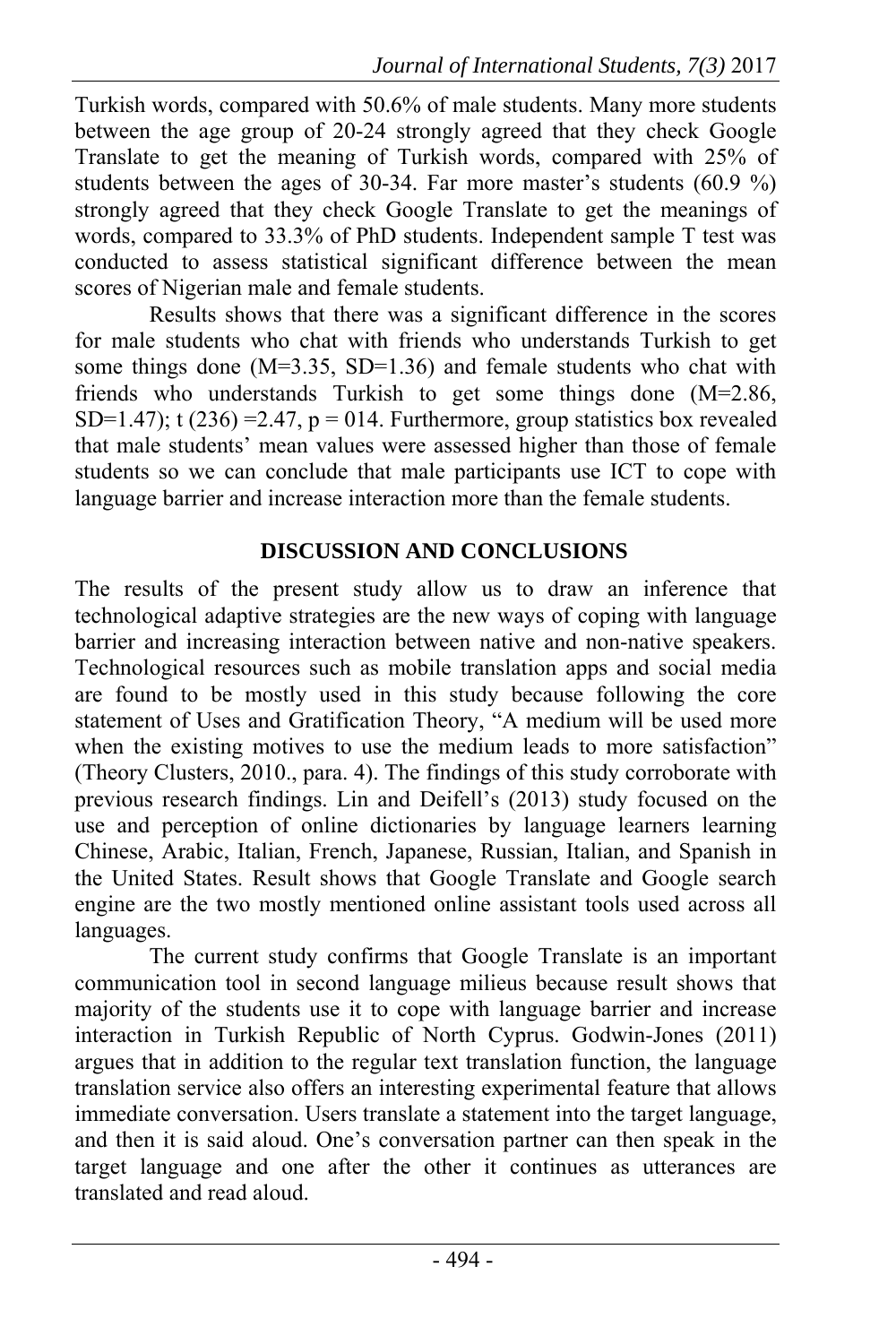Turkish words, compared with 50.6% of male students. Many more students between the age group of 20-24 strongly agreed that they check Google Translate to get the meaning of Turkish words, compared with 25% of students between the ages of 30-34. Far more master's students (60.9 %) strongly agreed that they check Google Translate to get the meanings of words, compared to 33.3% of PhD students. Independent sample T test was conducted to assess statistical significant difference between the mean scores of Nigerian male and female students.

Results shows that there was a significant difference in the scores for male students who chat with friends who understands Turkish to get some things done (M=3.35, SD=1.36) and female students who chat with friends who understands Turkish to get some things done (M=2.86, SD=1.47); t  $(236)$  =2.47, p = 014. Furthermore, group statistics box revealed that male students' mean values were assessed higher than those of female students so we can conclude that male participants use ICT to cope with language barrier and increase interaction more than the female students.

### **DISCUSSION AND CONCLUSIONS**

The results of the present study allow us to draw an inference that technological adaptive strategies are the new ways of coping with language barrier and increasing interaction between native and non-native speakers. Technological resources such as mobile translation apps and social media are found to be mostly used in this study because following the core statement of Uses and Gratification Theory, "A medium will be used more when the existing motives to use the medium leads to more satisfaction" (Theory Clusters, 2010., para. 4). The findings of this study corroborate with previous research findings. Lin and Deifell's (2013) study focused on the use and perception of online dictionaries by language learners learning Chinese, Arabic, Italian, French, Japanese, Russian, Italian, and Spanish in the United States. Result shows that Google Translate and Google search engine are the two mostly mentioned online assistant tools used across all languages.

The current study confirms that Google Translate is an important communication tool in second language milieus because result shows that majority of the students use it to cope with language barrier and increase interaction in Turkish Republic of North Cyprus. Godwin-Jones (2011) argues that in addition to the regular text translation function, the language translation service also offers an interesting experimental feature that allows immediate conversation. Users translate a statement into the target language, and then it is said aloud. One's conversation partner can then speak in the target language and one after the other it continues as utterances are translated and read aloud.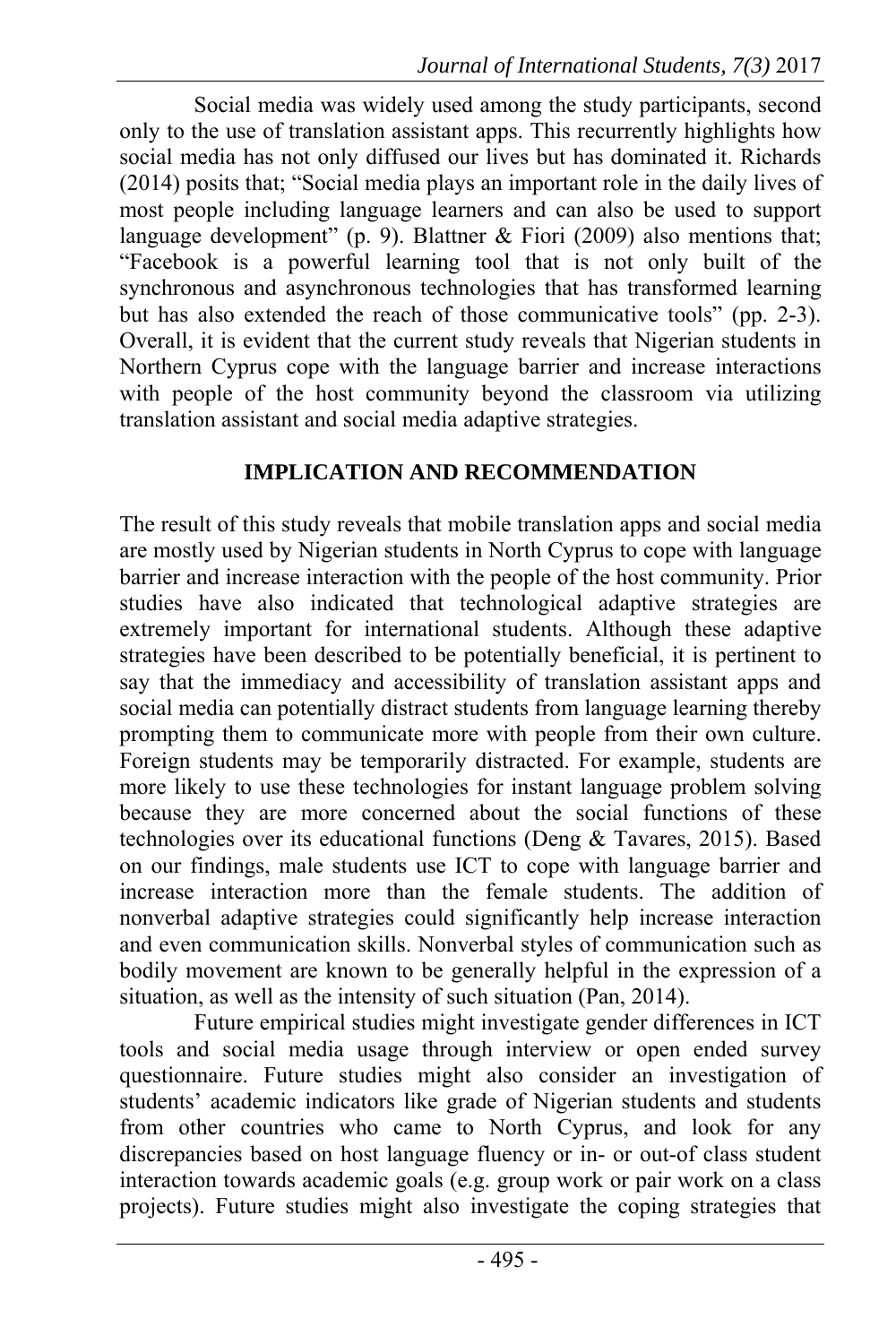Social media was widely used among the study participants, second only to the use of translation assistant apps. This recurrently highlights how social media has not only diffused our lives but has dominated it. Richards (2014) posits that; "Social media plays an important role in the daily lives of most people including language learners and can also be used to support language development" (p. 9). Blattner  $\&$  Fiori (2009) also mentions that; "Facebook is a powerful learning tool that is not only built of the synchronous and asynchronous technologies that has transformed learning but has also extended the reach of those communicative tools" (pp. 2-3). Overall, it is evident that the current study reveals that Nigerian students in Northern Cyprus cope with the language barrier and increase interactions with people of the host community beyond the classroom via utilizing translation assistant and social media adaptive strategies.

### **IMPLICATION AND RECOMMENDATION**

The result of this study reveals that mobile translation apps and social media are mostly used by Nigerian students in North Cyprus to cope with language barrier and increase interaction with the people of the host community. Prior studies have also indicated that technological adaptive strategies are extremely important for international students. Although these adaptive strategies have been described to be potentially beneficial, it is pertinent to say that the immediacy and accessibility of translation assistant apps and social media can potentially distract students from language learning thereby prompting them to communicate more with people from their own culture. Foreign students may be temporarily distracted. For example, students are more likely to use these technologies for instant language problem solving because they are more concerned about the social functions of these technologies over its educational functions (Deng & Tavares, 2015). Based on our findings, male students use ICT to cope with language barrier and increase interaction more than the female students. The addition of nonverbal adaptive strategies could significantly help increase interaction and even communication skills. Nonverbal styles of communication such as bodily movement are known to be generally helpful in the expression of a situation, as well as the intensity of such situation (Pan, 2014).

Future empirical studies might investigate gender differences in ICT tools and social media usage through interview or open ended survey questionnaire. Future studies might also consider an investigation of students' academic indicators like grade of Nigerian students and students from other countries who came to North Cyprus, and look for any discrepancies based on host language fluency or in- or out-of class student interaction towards academic goals (e.g. group work or pair work on a class projects). Future studies might also investigate the coping strategies that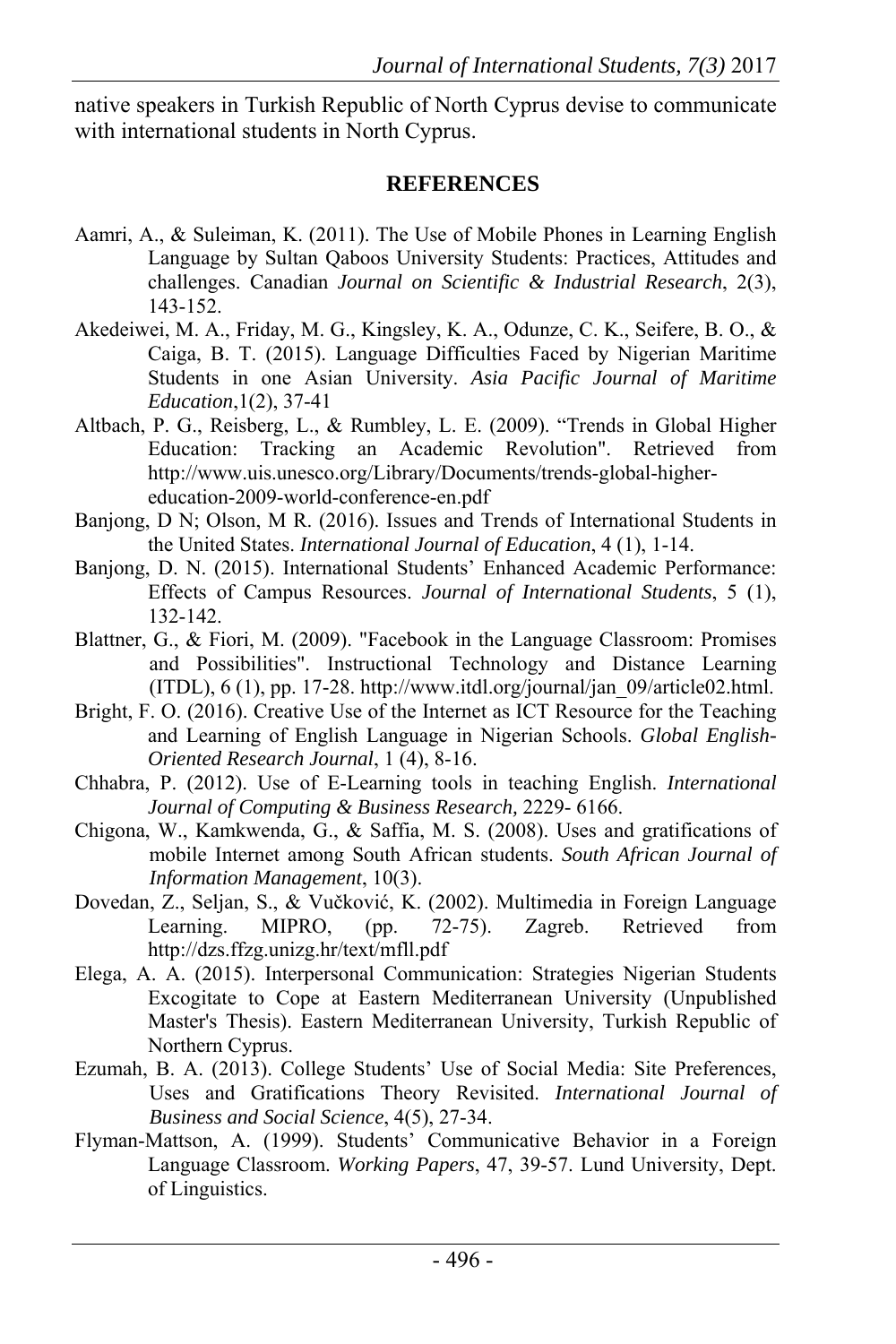native speakers in Turkish Republic of North Cyprus devise to communicate with international students in North Cyprus.

#### **REFERENCES**

- Aamri, A., & Suleiman, K. (2011). The Use of Mobile Phones in Learning English Language by Sultan Qaboos University Students: Practices, Attitudes and challenges. Canadian *Journal on Scientific & Industrial Research*, 2(3), 143-152.
- Akedeiwei, M. A., Friday, M. G., Kingsley, K. A., Odunze, C. K., Seifere, B. O., & Caiga, B. T. (2015). Language Difficulties Faced by Nigerian Maritime Students in one Asian University. *Asia Pacific Journal of Maritime Education*,1(2), 37-41
- Altbach, P. G., Reisberg, L., & Rumbley, L. E. (2009). "Trends in Global Higher Education: Tracking an Academic Revolution". Retrieved from http://www.uis.unesco.org/Library/Documents/trends-global-highereducation-2009-world-conference-en.pdf
- Banjong, D N; Olson, M R. (2016). Issues and Trends of International Students in the United States. *International Journal of Education*, 4 (1), 1-14.
- Banjong, D. N. (2015). International Students' Enhanced Academic Performance: Effects of Campus Resources. *Journal of International Students*, 5 (1), 132-142.
- Blattner, G., & Fiori, M. (2009). "Facebook in the Language Classroom: Promises and Possibilities". Instructional Technology and Distance Learning  $(TDL)$ , 6 (1), pp. 17-28. http://www.itdl.org/journal/jan\_09/article02.html.
- Bright, F. O. (2016). Creative Use of the Internet as ICT Resource for the Teaching and Learning of English Language in Nigerian Schools. *Global English-Oriented Research Journal*, 1 (4), 8-16.
- Chhabra, P. (2012). Use of E-Learning tools in teaching English. *International Journal of Computing & Business Research,* 2229- 6166.
- Chigona, W., Kamkwenda, G., & Saffia, M. S. (2008). Uses and gratifications of mobile Internet among South African students. *South African Journal of Information Management*, 10(3).
- Dovedan, Z., Seljan, S., & Vučković, K. (2002). Multimedia in Foreign Language Learning. MIPRO, (pp. 72-75). Zagreb. Retrieved from http://dzs.ffzg.unizg.hr/text/mfll.pdf
- Elega, A. A. (2015). Interpersonal Communication: Strategies Nigerian Students Excogitate to Cope at Eastern Mediterranean University (Unpublished Master's Thesis). Eastern Mediterranean University, Turkish Republic of Northern Cyprus.
- Ezumah, B. A. (2013). College Students' Use of Social Media: Site Preferences, Uses and Gratifications Theory Revisited. *International Journal of Business and Social Science*, 4(5), 27-34.
- Flyman-Mattson, A. (1999). Students' Communicative Behavior in a Foreign Language Classroom. *Working Papers*, 47, 39-57. Lund University, Dept. of Linguistics.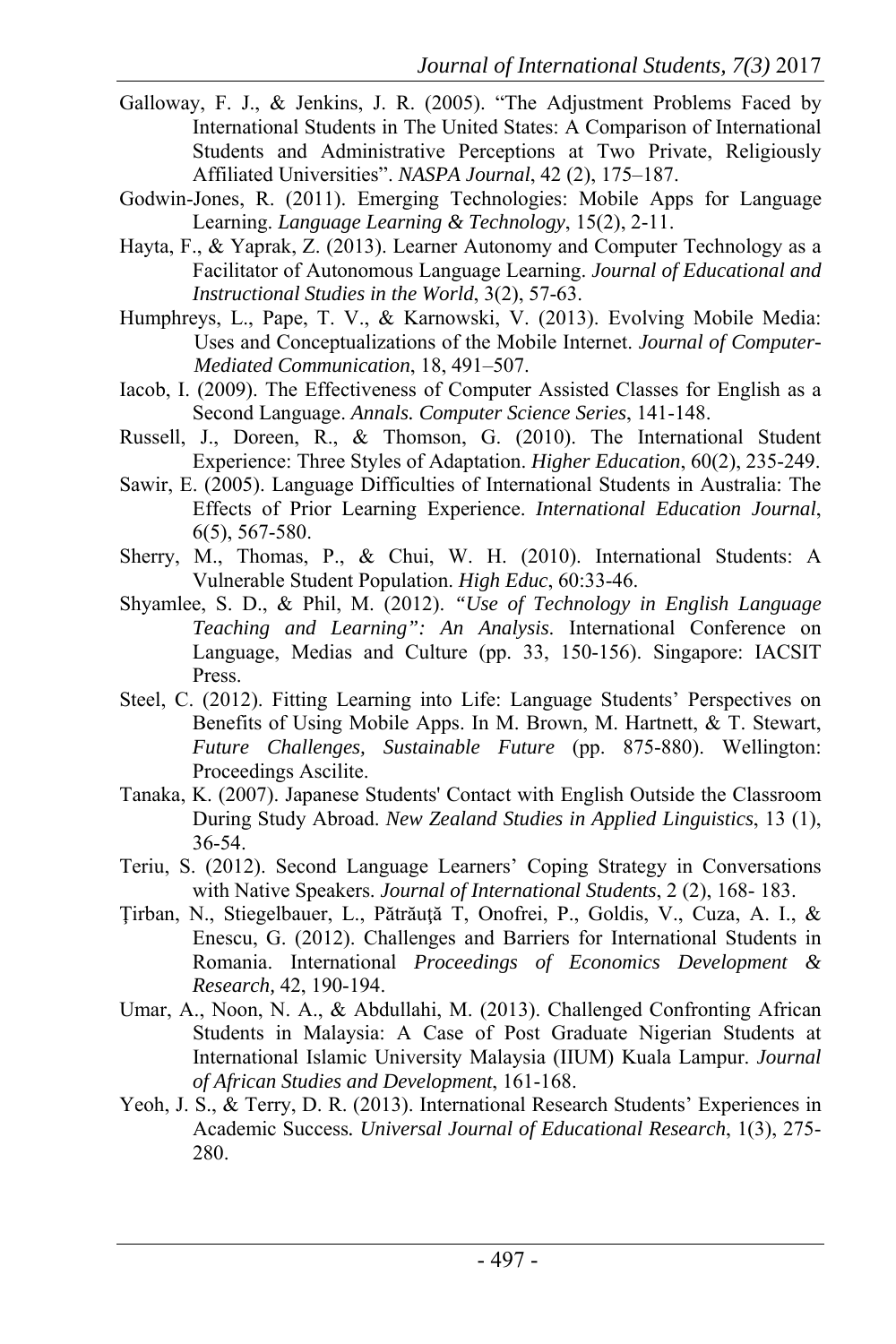- Galloway, F. J., & Jenkins, J. R. (2005). "The Adjustment Problems Faced by International Students in The United States: A Comparison of International Students and Administrative Perceptions at Two Private, Religiously Affiliated Universities". *NASPA Journal*, 42 (2), 175–187.
- Godwin-Jones, R. (2011). Emerging Technologies: Mobile Apps for Language Learning. *Language Learning & Technology*, 15(2), 2-11.
- Hayta, F., & Yaprak, Z. (2013). Learner Autonomy and Computer Technology as a Facilitator of Autonomous Language Learning. *Journal of Educational and Instructional Studies in the World*, 3(2), 57-63.
- Humphreys, L., Pape, T. V., & Karnowski, V. (2013). Evolving Mobile Media: Uses and Conceptualizations of the Mobile Internet. *Journal of Computer-Mediated Communication*, 18, 491–507.
- Iacob, I. (2009). The Effectiveness of Computer Assisted Classes for English as a Second Language. *Annals. Computer Science Series*, 141-148.
- Russell, J., Doreen, R., & Thomson, G. (2010). The International Student Experience: Three Styles of Adaptation. *Higher Education*, 60(2), 235-249.
- Sawir, E. (2005). Language Difficulties of International Students in Australia: The Effects of Prior Learning Experience. *International Education Journal*, 6(5), 567-580.
- Sherry, M., Thomas, P., & Chui, W. H. (2010). International Students: A Vulnerable Student Population. *High Educ*, 60:33-46.
- Shyamlee, S. D., & Phil, M. (2012). *"Use of Technology in English Language Teaching and Learning": An Analysis*. International Conference on Language, Medias and Culture (pp. 33, 150-156). Singapore: IACSIT Press.
- Steel, C. (2012). Fitting Learning into Life: Language Students' Perspectives on Benefits of Using Mobile Apps. In M. Brown, M. Hartnett, & T. Stewart, *Future Challenges, Sustainable Future* (pp. 875-880). Wellington: Proceedings Ascilite.
- Tanaka, K. (2007). Japanese Students' Contact with English Outside the Classroom During Study Abroad. *New Zealand Studies in Applied Linguistics*, 13 (1), 36-54.
- Teriu, S. (2012). Second Language Learners' Coping Strategy in Conversations with Native Speakers. *Journal of International Students*, 2 (2), 168- 183.
- Ţirban, N., Stiegelbauer, L., Pătrăuţă T, Onofrei, P., Goldis, V., Cuza, A. I., & Enescu, G. (2012). Challenges and Barriers for International Students in Romania. International *Proceedings of Economics Development & Research,* 42, 190-194.
- Umar, A., Noon, N. A., & Abdullahi, M. (2013). Challenged Confronting African Students in Malaysia: A Case of Post Graduate Nigerian Students at International Islamic University Malaysia (IIUM) Kuala Lampur. *Journal of African Studies and Development*, 161-168.
- Yeoh, J. S., & Terry, D. R. (2013). International Research Students' Experiences in Academic Success*. Universal Journal of Educational Research*, 1(3), 275- 280.